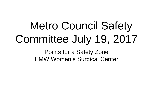# Metro Council Safety Committee July 19, 2017

Points for a Safety Zone EMW Women's Surgical Center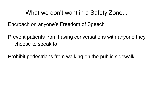#### What we don't want in a Safety Zone...

Encroach on anyone's Freedom of Speech

Prevent patients from having conversations with anyone they choose to speak to

Prohibit pedestrians from walking on the public sidewalk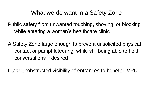## What we do want in a Safety Zone

Public safety from unwanted touching, shoving, or blocking while entering a woman's healthcare clinic

A Safety Zone large enough to prevent unsolicited physical contact or pamphleteering, while still being able to hold conversations if desired

Clear unobstructed visibility of entrances to benefit LMPD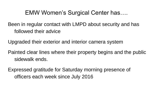## EMW Women's Surgical Center has….

Been in regular contact with LMPD about security and has followed their advice

Upgraded their exterior and interior camera system

Painted clear lines where their property begins and the public sidewalk ends.

Expressed gratitude for Saturday morning presence of officers each week since July 2016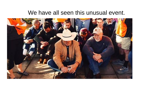#### We have all seen this unusual event.

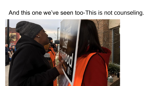## And this one we've seen too-This is not counseling.

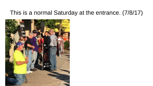## This is a normal Saturday at the entrance. (7/8/17)

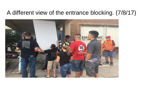### A different view of the entrance blocking. (7/8/17)

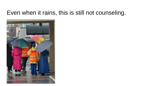## Even when it rains, this is still not counseling.

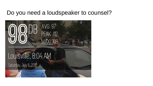#### Do you need a loudspeaker to counsel?

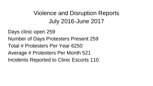# Violence and Disruption Reports July 2016-June 2017

Days clinic open 259 Number of Days Protesters Present 259 Total # Protesters Per Year 6250 Average # Protesters Per Month 521 Incidents Reported to Clinic Escorts 110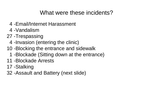## What were these incidents?

- 4 -Email/Internet Harassment
- 4 -Vandalism
- 27 -Trespassing
	- 4 -Invasion (entering the clinic)
- 10 -Blocking the entrance and sidewalk
	- 1 -Blockade (Sitting down at the entrance)
- 11 -Blockade Arrests
- 17 -Stalking
- 32 -Assault and Battery (next slide)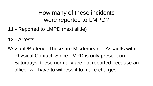# How many of these incidents were reported to LMPD?

- 11 Reported to LMPD (next slide)
- 12 Arrests
- \*Assault/Battery These are Misdemeanor Assaults with Physical Contact. Since LMPD is only present on Saturdays, these normally are not reported because an officer will have to witness it to make charges.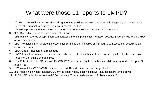# What were those 11 reports to LMPD?

- 1. 7/1 Four LMPD officers arrived after calling about Ryan Minter assaulting escorts with a large sign at the entrance. Police told Ryan not to bend the sign over under the portico.
- 2. 7/2 Police present and needed to call them over twice for crowding and blocking the entrance.
- 3. 9/29 Ryan Minter pushing on 2 escorts at entrance
- 4. 11/8 Patient reported Joseph Spurgeon harassing them in parking lot. No action because patient inside when LMPD arrived in response.
- 5. 11/17 Homeless man, threatening escorts for 15 min and clinic called LMPD. LMPD witnessed him assaulting an escort and arrested him.
- 6. 11/25 Graffiti not sure of arrest status
- 7. 12/17 Assault by companion on a protester who moved to block their entrance and was pushed by the companion. Report written but no charges filed.
- 8. 1/14 Patient called LMPD because KY OSA/P82 were harassing them in their car while waiting for door to open. No report filed.
- 9. 1/21 Assault by KY OSA/P82 member of escort. Report written but no charges filed.
- 10. 2/3 Police called when National OSA arrived about noise, blocking sidewalk-Loudspeakers turned down.
- 11. 5/13 LMPD called 6a for National OSA presence. Total squad cars sent 11. Total arrests 11.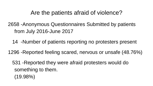## Are the patients afraid of violence?

- 2658 -Anonymous Questionnaires Submitted by patients from July 2016-June 2017
	- 14 -Number of patients reporting no protesters present
- 1296 -Reported feeling scared, nervous or unsafe (48.76%)
	- 531 -Reported they were afraid protesters would do something to them.
		- (19.98%)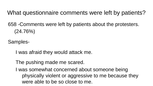What questionnaire comments were left by patients?

658 -Comments were left by patients about the protesters. (24.76%)

Samples-

I was afraid they would attack me.

The pushing made me scared.

I was somewhat concerned about someone being physically violent or aggressive to me because they were able to be so close to me.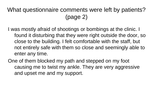# What questionnaire comments were left by patients? (page 2)

I was mostly afraid of shootings or bombings at the clinic. I found it disturbing that they were right outside the door, so close to the building. I felt comfortable with the staff, but not entirely safe with them so close and seemingly able to enter any time.

One of them blocked my path and stepped on my foot causing me to twist my ankle. They are very aggressive and upset me and my support.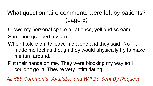# What questionnaire comments were left by patients? (page 3)

Crowd my personal space all at once, yell and scream. Someone grabbed my arm

- When I told them to leave me alone and they said "No", it made me feel as though they would physically try to make me turn around.
- Put their hands on me. They were blocking my way so I couldn't go in. They're very intimidating.

*All 658 Comments -Available and Will Be Sent By Request*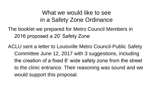## What we would like to see in a Safety Zone Ordinance

The booklet we prepared for Metro Council Members in 2016 proposed a 20' Safety Zone

ACLU sent a letter to Louisville Metro Council-Public Safety Committee June 12, 2017 with 3 suggestions, including the creation of a fixed 8' wide safety zone from the street to the clinic entrance. Their reasoning was sound and we would support this proposal.